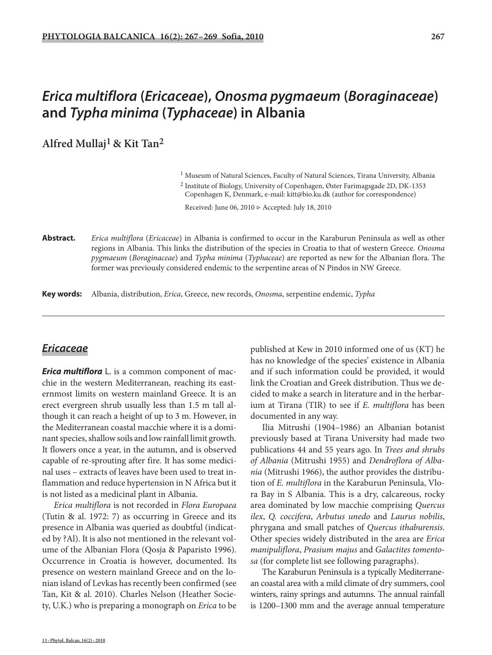**Alfred Mullaj1 & Kit Tan2**

<sup>1</sup> Museum of Natural Sciences, Faculty of Natural Sciences, Tirana University, Albania

2 Institute of Biology, University of Copenhagen, Øster Farimagsgade 2D, DK-1353 Copenhagen K, Denmark, e-mail: kitt@bio.ku.dk (author for correspondence)

Received: June 06, 2010 ▷ Accepted: July 18, 2010

**Abstract.** *Erica multiflora* (*Ericaceae*) in Albania is confirmed to occur in the Karaburun Peninsula as well as other regions in Albania. This links the distribution of the species in Croatia to that of western Greece. *Onosma pygmaeum* (*Boraginaceae*) and *Typha minima* (*Typhaceae*) are reported as new for the Albanian flora. The former was previously considered endemic to the serpentine areas of N Pindos in NW Greece.

**Key words:** Albania, distribution, *Erica*, Greece, new records, *Onosma*, serpentine endemic, *Typha*

## *Ericaceae*

*Erica multiflora* L. is a common component of macchie in the western Mediterranean, reaching its easternmost limits on western mainland Greece. It is an erect evergreen shrub usually less than 1.5 m tall although it can reach a height of up to 3 m. However, in the Mediterranean coastal macchie where it is a dominant species, shallow soils and low rainfall limit growth. It flowers once a year, in the autumn, and is observed capable of re-sprouting after fire. It has some medicinal uses – extracts of leaves have been used to treat inflammation and reduce hypertension in N Africa but it is not listed as a medicinal plant in Albania.

*Erica multiflora* is not recorded in *Flora Europaea* (Tutin & al. 1972: 7) as occurring in Greece and its presence in Albania was queried as doubtful (indicated by ?Al). It is also not mentioned in the relevant volume of the Albanian Flora (Qosja & Paparisto 1996). Occurrence in Croatia is however, documented. Its presence on western mainland Greece and on the Ionian island of Levkas has recently been confirmed (see Tan, Kit & al. 2010). Charles Nelson (Heather Society, U.K.) who is preparing a monograph on *Erica* to be

published at Kew in 2010 informed one of us (KT) he has no knowledge of the species' existence in Albania and if such information could be provided, it would link the Croatian and Greek distribution. Thus we decided to make a search in literature and in the herbarium at Tirana (TIR) to see if *E. multiflora* has been documented in any way.

Ilia Mitrushi (1904–1986) an Albanian botanist previously based at Tirana University had made two publications 44 and 55 years ago. In *Trees and shrubs of Albania* (Mitrushi 1955) and *Dendroflora of Albania* (Mitrushi 1966), the author provides the distribution of *E. multiflora* in the Karaburun Peninsula, Vlora Bay in S Albania. This is a dry, calcareous, rocky area dominated by low macchie comprising *Quercus ilex*, *Q. coccifera*, *Arbutus unedo* and *Laurus nobilis*, phrygana and small patches of *Quercus ithaburensis*. Other species widely distributed in the area are *Erica manipuliflora*, *Prasium majus* and *Galactites tomentosa* (for complete list see following paragraphs).

The Karaburun Peninsula is a typically Mediterranean coastal area with a mild climate of dry summers, cool winters, rainy springs and autumns. The annual rainfall is 1200–1300 mm and the average annual temperature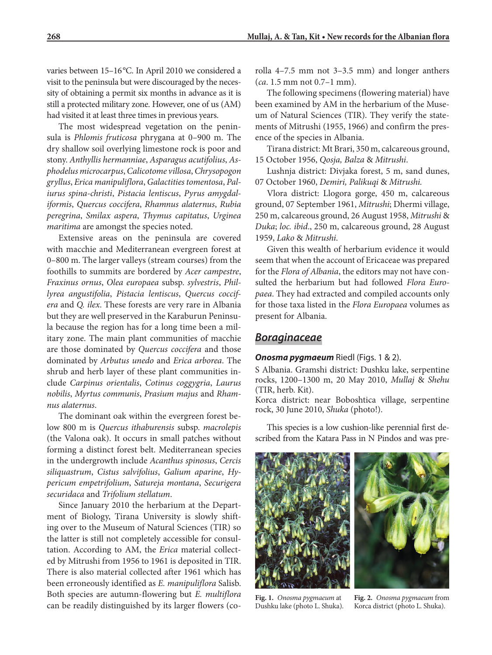varies between 15-16°C. In April 2010 we considered a visit to the peninsula but were discouraged by the necessity of obtaining a permit six months in advance as it is still a protected military zone. However, one of us (AM) had visited it at least three times in previous years.

The most widespread vegetation on the peninsula is *Phlomis fruticosa* phrygana at 0–900 m. The dry shallow soil overlying limestone rock is poor and stony. *Anthyllis hermanniae*, *Asparagus acutifolius*, *Asphodelus microcarpus*, *Calicotome villosa*, *Chrysopogon gryllus*, *Erica manipuliflora*, *Galactities tomentosa*, *Paliurus spina-christi*, *Pistacia lentiscus*, *Pyrus amygdaliformis*, *Quercus coccifera*, *Rhamnus alaternus*, *Rubia peregrina*, *Smilax aspera*, *Thymus capitatus*, *Urginea maritima* are amongst the species noted.

Extensive areas on the peninsula are covered with macchie and Mediterranean evergreen forest at 0–800 m. The larger valleys (stream courses) from the foothills to summits are bordered by *Acer campestre*, *Fraxinus ornus*, *Olea europaea* subsp. *sylvestris*, *Phillyrea angustifolia*, *Pistacia lentiscus*, *Quercus coccifera* and *Q. ilex*. These forests are very rare in Albania but they are well preserved in the Karaburun Peninsula because the region has for a long time been a military zone. The main plant communities of macchie are those dominated by *Quercus coccifera* and those dominated by *Arbutus unedo* and *Erica arborea*. The shrub and herb layer of these plant communities include *Carpinus orientalis*, *Cotinus coggygria*, *Laurus nobilis*, *Myrtus communis*, *Prasium majus* and *Rhamnus alaternus*.

The dominant oak within the evergreen forest below 800 m is *Quercus ithaburensis* subsp. *macrolepis* (the Valona oak). It occurs in small patches without forming a distinct forest belt. Mediterranean species in the undergrowth include *Acanthus spinosus*, *Cercis siliquastrum*, *Cistus salvifolius*, *Galium aparine*, *Hypericum empetrifolium*, *Satureja montana*, *Securigera securidaca* and *Trifolium stellatum*.

Since January 2010 the herbarium at the Department of Biology, Tirana University is slowly shifting over to the Museum of Natural Sciences (TIR) so the latter is still not completely accessible for consultation. According to AM, the *Erica* material collected by Mitrushi from 1956 to 1961 is deposited in TIR. There is also material collected after 1961 which has been erroneously identified as *E. manipuliflora* Salisb. Both species are autumn-flowering but *E. multiflora* can be readily distinguished by its larger flowers (corolla 4–7.5 mm not 3–3.5 mm) and longer anthers (*ca*. 1.5 mm not 0.7–1 mm).

The following specimens (flowering material) have been examined by AM in the herbarium of the Museum of Natural Sciences (TIR). They verify the statements of Mitrushi (1955, 1966) and confirm the presence of the species in Albania.

Tirana district: Mt Brari, 350 m, calcareous ground, 15 October 1956, *Qosja, Balza* & *Mitrushi*.

Lushnja district: Divjaka forest, 5 m, sand dunes, 07 October 1960, *Demiri, Palikuqi* & *Mitrushi.*

Vlora district: Llogora gorge, 450 m, calcareous ground, 07 September 1961, *Mitrushi*; Dhermi village, 250 m, calcareous ground, 26 August 1958, *Mitrushi* & *Duka*; *loc. ibid*., 250 m, calcareous ground, 28 August 1959, *Lako* & *Mitrushi*.

Given this wealth of herbarium evidence it would seem that when the account of Ericaceae was prepared for the *Flora of Albania*, the editors may not have consulted the herbarium but had followed *Flora Europaea*. They had extracted and compiled accounts only for those taxa listed in the *Flora Europaea* volumes as present for Albania.

### *Boraginaceae*

#### *Onosma pygmaeum* Riedl (Figs. 1 & 2).

S Albania. Gramshi district: Dushku lake, serpentine rocks, 1200–1300 m, 20 May 2010, *Mullaj* & *Shehu* (TIR, herb. Kit).

Korca district: near Boboshtica village, serpentine rock, 30 June 2010, *Shuka* (photo!).

This species is a low cushion-like perennial first described from the Katara Pass in N Pindos and was pre-



**Fig. 1.** *Onosma pygmaeum* at Dushku lake (photo L. Shuka).

**Fig. 2.** *Onosma pygmaeum* from

Korca district (photo L. Shuka).